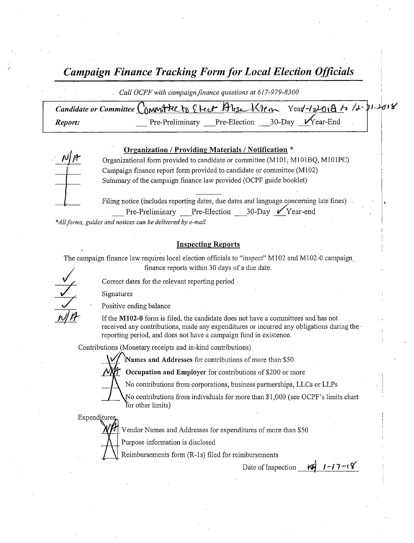Campaign Finance Tracking Form for Local Election Officials

Call OCPF with campaign finance questions at 617-979-8300

|         | Candidate or Committee Committee to Check Alisa Klen Year-12018 to 12-71-2018 |  |
|---------|-------------------------------------------------------------------------------|--|
| Report: | 30-Day $\mathcal{V}$ rear-End<br>Pre-Election<br>Pre-Preliminary              |  |

#### Organization / Providing Materials / Notification \*

Organizational form provided to candidate or committee (M101, M101BQ, M101PC) Campaign finance report form provided to candidate or committee (M102) Summary of the campaign finance law provided( OCPF guide booklet)

Filing notice (includes reporting dates, due dates and language concerning late fines) Pre-Preliminary Pre-Election 30-Day Year-end

\*All forms, guides and notices can be delivered by e-mail

#### **Inspecting Reports**

The campaign finance law requires local election officials to "inspect" M102 and M102-0 campaign finance reports within 30 days of <sup>a</sup> due date.

Correct dates for the relevant reporting period. Signatures

Positive ending balance

If the M102-0 form is filed, the candidate does not have a committees and has not received any contributions, made any expenditures or incurred any obligations during the reporting period, and does not have a campaign fund in existence.

Contributions (Monetary receipts and in-kind contributions)

Names and Addresses for contributions of more than \$50



Occupation and Employer for contributions of \$200 or more

No contributions from corporations, business partnerships, LLCs or LLPs

No contributions from individuals for more than \$1,000 (see OCPF's limits chart for other limits)

Expenditure

Vendor Names and Addresses for expenditures of more than\$ 50

Purpose information is disclosed

Reimbursements form (R-1s) filed for reimbursements

 $1 - 17 - 18$ Date of Inspection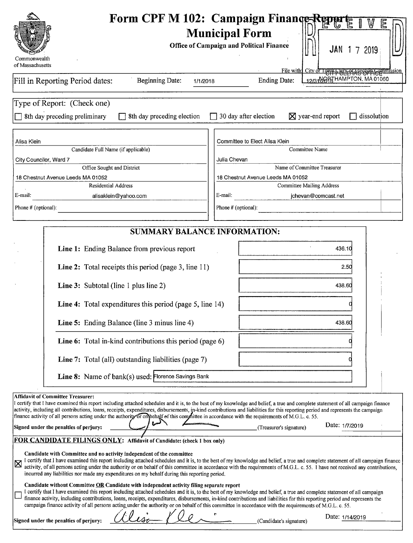|                                                                                                                                                                                                                                                                                                                                                                                                                                                                                                                                                                                                                                                                                        | Form CPF M 102: Campaign Finance Repar                                                                                                                                                                                                                                                                                                                             |  |  |  |  |
|----------------------------------------------------------------------------------------------------------------------------------------------------------------------------------------------------------------------------------------------------------------------------------------------------------------------------------------------------------------------------------------------------------------------------------------------------------------------------------------------------------------------------------------------------------------------------------------------------------------------------------------------------------------------------------------|--------------------------------------------------------------------------------------------------------------------------------------------------------------------------------------------------------------------------------------------------------------------------------------------------------------------------------------------------------------------|--|--|--|--|
|                                                                                                                                                                                                                                                                                                                                                                                                                                                                                                                                                                                                                                                                                        | <b>Municipal Form</b><br><b>Office of Campaign and Political Finance</b><br>JAN<br>7 2019                                                                                                                                                                                                                                                                          |  |  |  |  |
| Commonwealth<br>of Massachusetts                                                                                                                                                                                                                                                                                                                                                                                                                                                                                                                                                                                                                                                       |                                                                                                                                                                                                                                                                                                                                                                    |  |  |  |  |
| Fill in Reporting Period dates:<br><b>Beginning Date:</b>                                                                                                                                                                                                                                                                                                                                                                                                                                                                                                                                                                                                                              | File with City of TOWA CELER RECUPPIC Entitled<br>12/31 HAMPTON, MA 01060<br><b>Ending Date:</b><br>1/1/2018                                                                                                                                                                                                                                                       |  |  |  |  |
| Type of Report: (Check one)                                                                                                                                                                                                                                                                                                                                                                                                                                                                                                                                                                                                                                                            |                                                                                                                                                                                                                                                                                                                                                                    |  |  |  |  |
| 8th day preceding preliminary<br>8th day preceding election                                                                                                                                                                                                                                                                                                                                                                                                                                                                                                                                                                                                                            | 30 day after election<br>$\boxtimes$ year-end report<br>dissolution                                                                                                                                                                                                                                                                                                |  |  |  |  |
| Alisa Klein                                                                                                                                                                                                                                                                                                                                                                                                                                                                                                                                                                                                                                                                            | Committee to Elect Alisa Klein                                                                                                                                                                                                                                                                                                                                     |  |  |  |  |
| Candidate Full Name (if applicable)                                                                                                                                                                                                                                                                                                                                                                                                                                                                                                                                                                                                                                                    | <b>Committee Name</b>                                                                                                                                                                                                                                                                                                                                              |  |  |  |  |
| City Councilor, Ward 7                                                                                                                                                                                                                                                                                                                                                                                                                                                                                                                                                                                                                                                                 | Julia Chevan                                                                                                                                                                                                                                                                                                                                                       |  |  |  |  |
| Office Sought and District<br>18 Chestnut Avenue Leeds MA 01052                                                                                                                                                                                                                                                                                                                                                                                                                                                                                                                                                                                                                        | Name of Committee Treasurer<br>18 Chestnut Avenue Leeds MA 01052                                                                                                                                                                                                                                                                                                   |  |  |  |  |
| <b>Residential Address</b>                                                                                                                                                                                                                                                                                                                                                                                                                                                                                                                                                                                                                                                             | <b>Committee Mailing Address</b>                                                                                                                                                                                                                                                                                                                                   |  |  |  |  |
| E-mail:<br>alisaklein@yahoo.com                                                                                                                                                                                                                                                                                                                                                                                                                                                                                                                                                                                                                                                        | E-mail:<br>jchevan@comcast.net                                                                                                                                                                                                                                                                                                                                     |  |  |  |  |
| Phone # (optional):                                                                                                                                                                                                                                                                                                                                                                                                                                                                                                                                                                                                                                                                    | Phone # (optional):                                                                                                                                                                                                                                                                                                                                                |  |  |  |  |
|                                                                                                                                                                                                                                                                                                                                                                                                                                                                                                                                                                                                                                                                                        | <b>SUMMARY BALANCE INFORMATION:</b>                                                                                                                                                                                                                                                                                                                                |  |  |  |  |
| Line 1: Ending Balance from previous report                                                                                                                                                                                                                                                                                                                                                                                                                                                                                                                                                                                                                                            | 436.10                                                                                                                                                                                                                                                                                                                                                             |  |  |  |  |
| Line 2: Total receipts this period (page 3, line 11)                                                                                                                                                                                                                                                                                                                                                                                                                                                                                                                                                                                                                                   | 2.50                                                                                                                                                                                                                                                                                                                                                               |  |  |  |  |
| Line 3: Subtotal (line 1 plus line 2)                                                                                                                                                                                                                                                                                                                                                                                                                                                                                                                                                                                                                                                  | 438.60                                                                                                                                                                                                                                                                                                                                                             |  |  |  |  |
| Line 4: Total expenditures this period (page 5, line 14)                                                                                                                                                                                                                                                                                                                                                                                                                                                                                                                                                                                                                               |                                                                                                                                                                                                                                                                                                                                                                    |  |  |  |  |
| Line 5: Ending Balance (line 3 minus line 4)                                                                                                                                                                                                                                                                                                                                                                                                                                                                                                                                                                                                                                           | 438.60                                                                                                                                                                                                                                                                                                                                                             |  |  |  |  |
| Line 6: Total in-kind contributions this period (page 6)                                                                                                                                                                                                                                                                                                                                                                                                                                                                                                                                                                                                                               |                                                                                                                                                                                                                                                                                                                                                                    |  |  |  |  |
| <b>Line 7:</b> Total (all) outstanding liabilities (page 7)                                                                                                                                                                                                                                                                                                                                                                                                                                                                                                                                                                                                                            |                                                                                                                                                                                                                                                                                                                                                                    |  |  |  |  |
| Line 8: Name of bank(s) used: Florence Savings Bank                                                                                                                                                                                                                                                                                                                                                                                                                                                                                                                                                                                                                                    |                                                                                                                                                                                                                                                                                                                                                                    |  |  |  |  |
| <b>Affidavit of Committee Treasurer:</b><br>I certify that I have examined this report including attached schedules and it is, to the best of my knowledge and belief, a true and complete statement of all campaign finance<br>activity, including all contributions, loans, receipts, expenditures, disbursements, in-kind contributions and liabilities for this reporting period and represents the campaign<br>finance activity of all persons acting under the authority or on behalf of this committee in accordance with the requirements of M.G.L. c. 55.<br>Signed under the penalties of perjury:<br>FOR CANDIDATE FILINGS ONLY: Affidavit of Candidate: (check 1 box only) | Date: 1/7/2019<br>(Treasurer's signature)                                                                                                                                                                                                                                                                                                                          |  |  |  |  |
| Candidate with Committee and no activity independent of the committee<br>incurred any liabilities nor made any expenditures on my behalf during this reporting period.                                                                                                                                                                                                                                                                                                                                                                                                                                                                                                                 | I certify that I have examined this report including attached schedules and it is, to the best of my knowledge and belief, a true and complete statement of all campaign finance<br>activity, of all persons acting under the authority or on behalf of this committee in accordance with the requirements of M.G.L. c. 55. I have not received any contributions, |  |  |  |  |
| Candidate without Committee OR Candidate with independent activity filing separate report<br>finance activity, including contributions, loans, receipts, expenditures, disbursements, in-kind contributions and liabilities for this reporting period and represents the<br>campaign finance activity of all persons acting under the authority or on behalf of this committee in accordance with the requirements of M.G.L. c. 55.<br>Signed under the penalties of perjury:                                                                                                                                                                                                          | I certify that I have examined this report including attached schedules and it is, to the best of my knowledge and belief, a true and complete statement of all campaign<br>Date: 1/14/2019<br>(Candidate's signature)                                                                                                                                             |  |  |  |  |
|                                                                                                                                                                                                                                                                                                                                                                                                                                                                                                                                                                                                                                                                                        |                                                                                                                                                                                                                                                                                                                                                                    |  |  |  |  |

 $\cdot$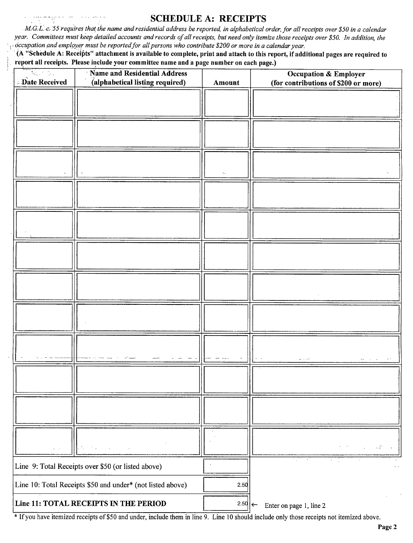#### SCHEDULE A: RECEIPTS

M.G.L. c. 55 requires that the name and residential address be reported, in alphabetical order, for all receipts over \$50 in a calendar year. Committees must keep detailed accounts and records of all receipts, but need only itemize those receipts over \$50. In addition, the occupation and employer must be reported for all persons who contribute \$200 or more in a calendar year.

A" Schedule A: Receipts" attachment is available to complete, print and attach to this report, if additional pages are required to report all receipts. Please include your committee name and a page number on each page.)

| 있는 것.<br>Date Received                                     | <b>Name and Residential Address</b><br>۰,<br>(alphabetical listing required) | Amount | <b>Occupation &amp; Employer</b><br>(for contributions of \$200 or more) |
|------------------------------------------------------------|------------------------------------------------------------------------------|--------|--------------------------------------------------------------------------|
|                                                            |                                                                              |        |                                                                          |
|                                                            |                                                                              |        |                                                                          |
|                                                            |                                                                              |        |                                                                          |
|                                                            |                                                                              |        |                                                                          |
|                                                            |                                                                              |        |                                                                          |
|                                                            |                                                                              |        |                                                                          |
|                                                            |                                                                              |        |                                                                          |
|                                                            |                                                                              |        |                                                                          |
|                                                            |                                                                              |        |                                                                          |
|                                                            |                                                                              |        |                                                                          |
|                                                            |                                                                              |        |                                                                          |
|                                                            |                                                                              |        |                                                                          |
|                                                            |                                                                              |        |                                                                          |
|                                                            |                                                                              |        |                                                                          |
|                                                            |                                                                              |        |                                                                          |
|                                                            |                                                                              |        |                                                                          |
|                                                            |                                                                              |        |                                                                          |
|                                                            |                                                                              |        |                                                                          |
|                                                            |                                                                              |        |                                                                          |
|                                                            |                                                                              |        |                                                                          |
|                                                            |                                                                              |        |                                                                          |
|                                                            |                                                                              |        |                                                                          |
|                                                            |                                                                              |        |                                                                          |
|                                                            |                                                                              |        |                                                                          |
|                                                            |                                                                              |        |                                                                          |
|                                                            |                                                                              |        |                                                                          |
|                                                            |                                                                              |        | $\sim 1.25$<br>$\mathcal{L}^{\mathcal{L}}$                               |
|                                                            | Line 9: Total Receipts over \$50 (or listed above)                           |        |                                                                          |
| Line 10: Total Receipts \$50 and under* (not listed above) |                                                                              | 2.50   |                                                                          |
| Line 11: TOTAL RECEIPTS IN THE PERIOD                      |                                                                              | 2.50   | Enter on page 1, line 2                                                  |

<sup>\*</sup> If you have itemized receipts of \$50 and under, include them in line 9. Line 10 should include only those receipts not itemized above.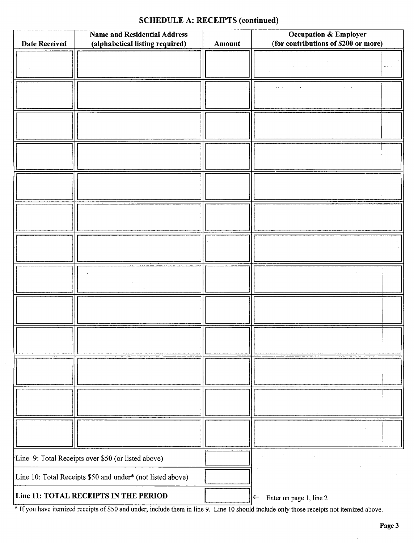### SCHEDULE A: RECEIPTS (continued)

| <b>Name and Residential Address</b>                        |                                 |        | <b>Occupation &amp; Employer</b>        |  |  |
|------------------------------------------------------------|---------------------------------|--------|-----------------------------------------|--|--|
| <b>Date Received</b>                                       | (alphabetical listing required) | Amount | (for contributions of \$200 or more)    |  |  |
|                                                            |                                 |        |                                         |  |  |
|                                                            |                                 |        |                                         |  |  |
|                                                            |                                 |        |                                         |  |  |
|                                                            |                                 |        |                                         |  |  |
|                                                            |                                 |        |                                         |  |  |
|                                                            |                                 |        |                                         |  |  |
|                                                            |                                 |        |                                         |  |  |
|                                                            |                                 |        |                                         |  |  |
|                                                            |                                 |        |                                         |  |  |
|                                                            |                                 |        |                                         |  |  |
|                                                            |                                 |        |                                         |  |  |
|                                                            |                                 |        |                                         |  |  |
|                                                            |                                 |        |                                         |  |  |
| Line 9: Total Receipts over \$50 (or listed above)         |                                 |        |                                         |  |  |
| Line 10: Total Receipts \$50 and under* (not listed above) |                                 |        |                                         |  |  |
| Line 11: TOTAL RECEIPTS IN THE PERIOD                      |                                 |        | Enter on page 1, line 2<br>$\leftarrow$ |  |  |

<sup>\*</sup> If you have itemized receipts of \$50 and under, include them in line 9. Line 10 should include only those receipts not itemized above.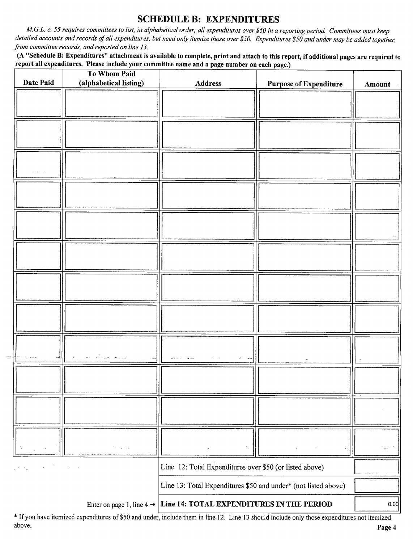## SCHEDULE B: EXPENDITURES

M.G.L. c. 55 requires committees to list, in alphabetical order, all expenditures over\$ 50 in a reporting period. Committees must keep detailed accounts and records of all expenditures, but need only itemize those over \$50. Expenditures \$50 and under may be added together, from committee records, and reported on line 13.

A" Schedule B: Expenditures" attachment is available to complete, print and attach to this report, if additional pages are required to report all expenditures. Please include your committee name and <sup>a</sup> page number on each page.)

|                                | To Whom Paid                               |                                                                                 |                               |        |
|--------------------------------|--------------------------------------------|---------------------------------------------------------------------------------|-------------------------------|--------|
| Date Paid                      | (alphabetical listing)                     | <b>Address</b>                                                                  | <b>Purpose of Expenditure</b> | Amount |
|                                |                                            |                                                                                 |                               |        |
|                                |                                            |                                                                                 |                               |        |
|                                |                                            |                                                                                 |                               |        |
|                                |                                            |                                                                                 |                               |        |
|                                |                                            |                                                                                 |                               |        |
|                                |                                            |                                                                                 |                               |        |
|                                |                                            |                                                                                 |                               |        |
|                                |                                            |                                                                                 |                               |        |
|                                |                                            |                                                                                 |                               |        |
|                                |                                            |                                                                                 |                               |        |
|                                |                                            |                                                                                 |                               |        |
|                                |                                            |                                                                                 |                               |        |
|                                |                                            |                                                                                 |                               |        |
|                                |                                            |                                                                                 |                               |        |
|                                |                                            |                                                                                 |                               |        |
|                                |                                            |                                                                                 |                               |        |
|                                |                                            |                                                                                 |                               |        |
|                                |                                            |                                                                                 |                               |        |
|                                |                                            |                                                                                 |                               |        |
|                                |                                            |                                                                                 |                               |        |
|                                |                                            |                                                                                 |                               |        |
|                                |                                            |                                                                                 |                               |        |
|                                |                                            |                                                                                 |                               |        |
|                                |                                            |                                                                                 |                               |        |
|                                |                                            |                                                                                 |                               |        |
|                                |                                            |                                                                                 |                               |        |
|                                |                                            |                                                                                 |                               |        |
|                                |                                            |                                                                                 |                               |        |
|                                |                                            |                                                                                 |                               |        |
|                                |                                            |                                                                                 |                               |        |
|                                | $\mathcal{F}=\mathcal{F}^{\mathcal{F}}$ in | $\lambda$                                                                       |                               | .<br>  |
| $\varphi\in\mathcal{F}_\infty$ | $\sim$                                     | Line 12: Total Expenditures over \$50 (or listed above)                         |                               |        |
|                                |                                            | Line 13: Total Expenditures \$50 and under* (not listed above)                  |                               |        |
|                                |                                            | Enter on page 1, line $4 \rightarrow$ Line 14: TOTAL EXPENDITURES IN THE PERIOD |                               | 0.00   |

<sup>If</sup> If you have itemized expenditures of \$50 and under, include them in line 12. Line 13 should include only those expenditures not itemized<br>above. above. Page <sup>4</sup>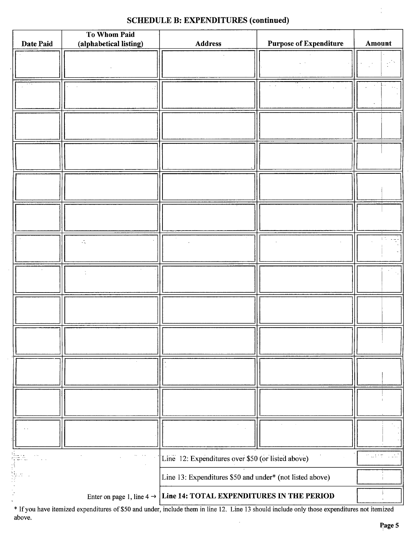## SCHEDULE B: EXPENDITURES (continued)

|           | <b>To Whom Paid</b>    |                                                                                 |                               |                          |
|-----------|------------------------|---------------------------------------------------------------------------------|-------------------------------|--------------------------|
| Date Paid | (alphabetical listing) | <b>Address</b>                                                                  | <b>Purpose of Expenditure</b> | Amount                   |
|           |                        |                                                                                 |                               |                          |
|           |                        |                                                                                 |                               |                          |
|           |                        |                                                                                 |                               |                          |
|           |                        |                                                                                 |                               |                          |
|           |                        |                                                                                 |                               |                          |
|           |                        |                                                                                 |                               |                          |
|           |                        |                                                                                 |                               |                          |
|           |                        |                                                                                 |                               |                          |
|           |                        |                                                                                 |                               |                          |
|           |                        |                                                                                 |                               |                          |
|           |                        |                                                                                 |                               |                          |
|           |                        |                                                                                 |                               |                          |
|           |                        |                                                                                 |                               |                          |
|           |                        |                                                                                 |                               |                          |
|           |                        |                                                                                 |                               |                          |
|           | г,                     |                                                                                 |                               |                          |
|           |                        |                                                                                 |                               |                          |
|           |                        |                                                                                 |                               |                          |
|           |                        |                                                                                 |                               |                          |
|           |                        |                                                                                 |                               |                          |
|           |                        |                                                                                 |                               |                          |
|           |                        |                                                                                 |                               |                          |
|           |                        |                                                                                 |                               |                          |
|           |                        |                                                                                 |                               |                          |
|           |                        |                                                                                 |                               |                          |
|           |                        |                                                                                 |                               |                          |
|           |                        |                                                                                 |                               |                          |
|           |                        |                                                                                 |                               |                          |
|           |                        |                                                                                 |                               |                          |
|           |                        |                                                                                 |                               |                          |
|           |                        |                                                                                 |                               |                          |
|           |                        |                                                                                 |                               |                          |
|           |                        |                                                                                 |                               | muther.<br>د بي.<br>بينس |
|           |                        | Line 12: Expenditures over \$50 (or listed above)                               |                               |                          |
| iyan<br>F |                        | Line 13: Expenditures \$50 and under* (not listed above)                        |                               |                          |
|           |                        | Enter on page 1, line $4 \rightarrow$ Line 14: TOTAL EXPENDITURES IN THE PERIOD |                               |                          |
|           |                        |                                                                                 |                               |                          |

If you have itemized expenditures of\$ <sup>50</sup> and under, include them in line 12. Line <sup>13</sup> should include only those expenditures not itemized above. l,

 $\ddot{\phantom{0}}$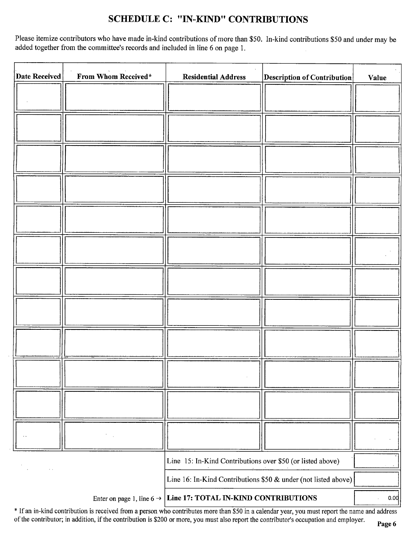# SCHEDULE C: " IN-KIND" CONTRIBUTIONS

Please itemize contributors who have made in-kind contributions of more than\$ 50. In-kind contributions \$50 and under may be added together from the committee's records and included in line 6 on page 1.

| <b>Date Received</b> | From Whom Received* | <b>Residential Address</b>                                                 | <b>Description of Contribution</b> | <b>Value</b> |
|----------------------|---------------------|----------------------------------------------------------------------------|------------------------------------|--------------|
|                      |                     |                                                                            |                                    |              |
|                      |                     |                                                                            |                                    |              |
|                      |                     |                                                                            |                                    |              |
|                      |                     |                                                                            |                                    |              |
|                      |                     |                                                                            |                                    |              |
|                      |                     |                                                                            |                                    |              |
|                      |                     |                                                                            |                                    |              |
|                      |                     |                                                                            |                                    |              |
|                      |                     |                                                                            |                                    |              |
|                      |                     |                                                                            |                                    |              |
|                      |                     |                                                                            |                                    |              |
|                      |                     |                                                                            |                                    |              |
|                      |                     |                                                                            |                                    |              |
|                      |                     |                                                                            |                                    |              |
|                      |                     |                                                                            |                                    |              |
|                      |                     |                                                                            |                                    |              |
|                      |                     |                                                                            |                                    |              |
|                      |                     |                                                                            |                                    |              |
|                      |                     |                                                                            |                                    |              |
|                      |                     |                                                                            |                                    |              |
|                      |                     | Line 15: In-Kind Contributions over \$50 (or listed above)                 |                                    |              |
|                      |                     | Line 16: In-Kind Contributions \$50 & under (not listed above)             |                                    |              |
|                      |                     | Enter on page 1, line $6 \rightarrow$ Line 17: TOTAL IN-KIND CONTRIBUTIONS |                                    | 0.00         |

\* If an in-kind contribution is received from a person who contributes more than \$50 in a calendar year, you must report the name and address of the contributor; in addition, if the contribution is \$200 or more, you must also report the contributor's occupation and employer.